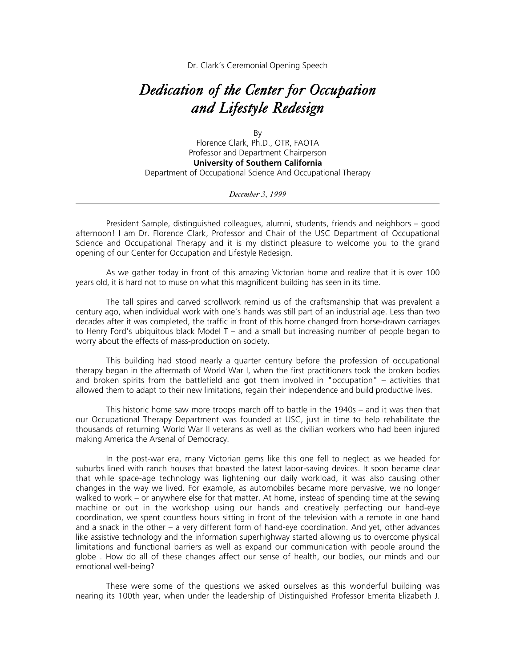Dr. Clark's Ceremonial Opening Speech

## *Dedication of the Center for Occupation and Lifestyle Redesign*

By Florence Clark, Ph.D., OTR, FAOTA Professor and Department Chairperson **University of Southern California** Department of Occupational Science And Occupational Therapy

*December 3, 1999*

President Sample, distinguished colleagues, alumni, students, friends and neighbors – good afternoon! I am Dr. Florence Clark, Professor and Chair of the USC Department of Occupational Science and Occupational Therapy and it is my distinct pleasure to welcome you to the grand opening of our Center for Occupation and Lifestyle Redesign.

As we gather today in front of this amazing Victorian home and realize that it is over 100 years old, it is hard not to muse on what this magnificent building has seen in its time.

The tall spires and carved scrollwork remind us of the craftsmanship that was prevalent a century ago, when individual work with one's hands was still part of an industrial age. Less than two decades after it was completed, the traffic in front of this home changed from horse-drawn carriages to Henry Ford's ubiquitous black Model T – and a small but increasing number of people began to worry about the effects of mass-production on society.

This building had stood nearly a quarter century before the profession of occupational therapy began in the aftermath of World War I, when the first practitioners took the broken bodies and broken spirits from the battlefield and got them involved in "occupation" – activities that allowed them to adapt to their new limitations, regain their independence and build productive lives.

This historic home saw more troops march off to battle in the 1940s – and it was then that our Occupational Therapy Department was founded at USC, just in time to help rehabilitate the thousands of returning World War II veterans as well as the civilian workers who had been injured making America the Arsenal of Democracy.

In the post-war era, many Victorian gems like this one fell to neglect as we headed for suburbs lined with ranch houses that boasted the latest labor-saving devices. It soon became clear that while space-age technology was lightening our daily workload, it was also causing other changes in the way we lived. For example, as automobiles became more pervasive, we no longer walked to work – or anywhere else for that matter. At home, instead of spending time at the sewing machine or out in the workshop using our hands and creatively perfecting our hand-eye coordination, we spent countless hours sitting in front of the television with a remote in one hand and a snack in the other – a very different form of hand-eye coordination. And yet, other advances like assistive technology and the information superhighway started allowing us to overcome physical limitations and functional barriers as well as expand our communication with people around the globe . How do all of these changes affect our sense of health, our bodies, our minds and our emotional well-being?

These were some of the questions we asked ourselves as this wonderful building was nearing its 100th year, when under the leadership of Distinguished Professor Emerita Elizabeth J.